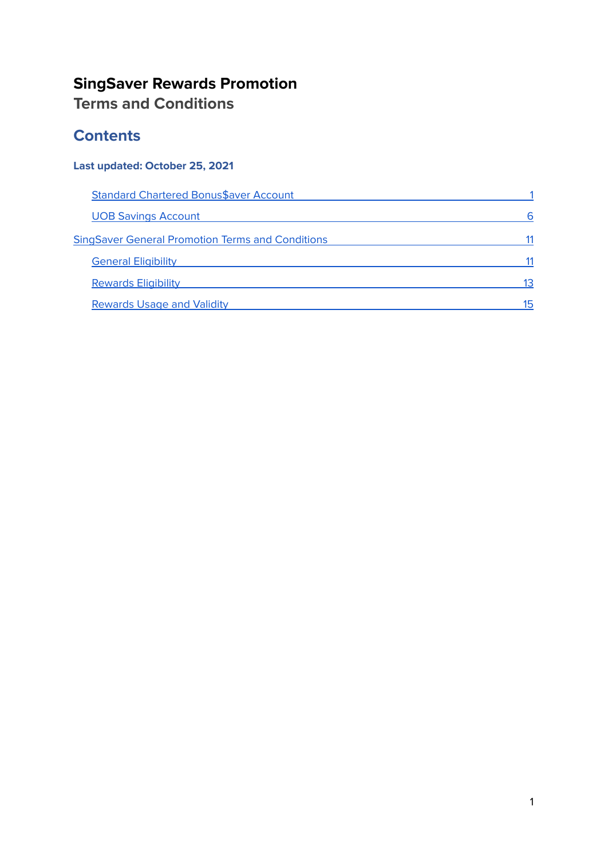### **SingSaver Rewards Promotion Terms and Conditions**

# **Contents**

### **Last updated: October 25, 2021**

| <b>Standard Chartered Bonus\$aver Account</b>           |    |  |
|---------------------------------------------------------|----|--|
| <b>UOB Savings Account</b>                              | 6  |  |
| <b>SingSaver General Promotion Terms and Conditions</b> |    |  |
| <b>General Eligibility</b>                              |    |  |
| <b>Rewards Eligibility</b>                              | 13 |  |
| <b>Rewards Usage and Validity</b>                       | 15 |  |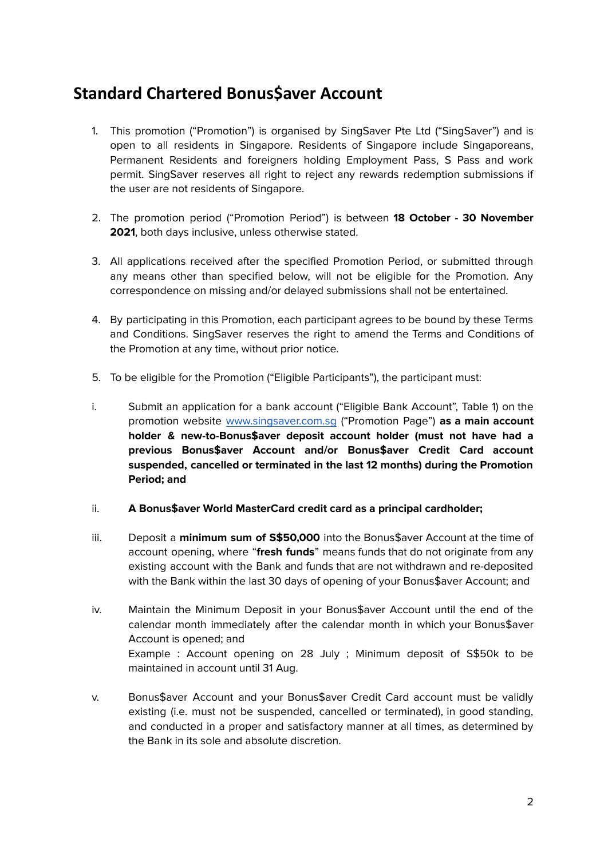# <span id="page-1-0"></span>**Standard Chartered Bonus\$aver Account**

- 1. This promotion ("Promotion") is organised by SingSaver Pte Ltd ("SingSaver") and is open to all residents in Singapore. Residents of Singapore include Singaporeans, Permanent Residents and foreigners holding Employment Pass, S Pass and work permit. SingSaver reserves all right to reject any rewards redemption submissions if the user are not residents of Singapore.
- 2. The promotion period ("Promotion Period") is between **18 October - 30 November 2021**, both days inclusive, unless otherwise stated.
- 3. All applications received after the specified Promotion Period, or submitted through any means other than specified below, will not be eligible for the Promotion. Any correspondence on missing and/or delayed submissions shall not be entertained.
- 4. By participating in this Promotion, each participant agrees to be bound by these Terms and Conditions. SingSaver reserves the right to amend the Terms and Conditions of the Promotion at any time, without prior notice.
- 5. To be eligible for the Promotion ("Eligible Participants"), the participant must:
- i. Submit an application for a bank account ("Eligible Bank Account", Table 1) on the promotion website [www.singsaver.com.sg](http://www.singsaver.com.sg) ("Promotion Page") **as a main account holder & new-to-Bonus\$aver deposit account holder (must not have had a previous Bonus\$aver Account and/or Bonus\$aver Credit Card account suspended, cancelled or terminated in the last 12 months) during the Promotion Period; and**

#### ii. **A Bonus\$aver World MasterCard credit card as a principal cardholder;**

- iii. Deposit a **minimum sum of S\$50,000** into the Bonus\$aver Account at the time of account opening, where "**fresh funds**" means funds that do not originate from any existing account with the Bank and funds that are not withdrawn and re-deposited with the Bank within the last 30 days of opening of your Bonus\$aver Account; and
- iv. Maintain the Minimum Deposit in your Bonus\$aver Account until the end of the calendar month immediately after the calendar month in which your Bonus\$aver Account is opened; and Example : Account opening on 28 July ; Minimum deposit of S\$50k to be maintained in account until 31 Aug.
- v. Bonus\$aver Account and your Bonus\$aver Credit Card account must be validly existing (i.e. must not be suspended, cancelled or terminated), in good standing, and conducted in a proper and satisfactory manner at all times, as determined by the Bank in its sole and absolute discretion.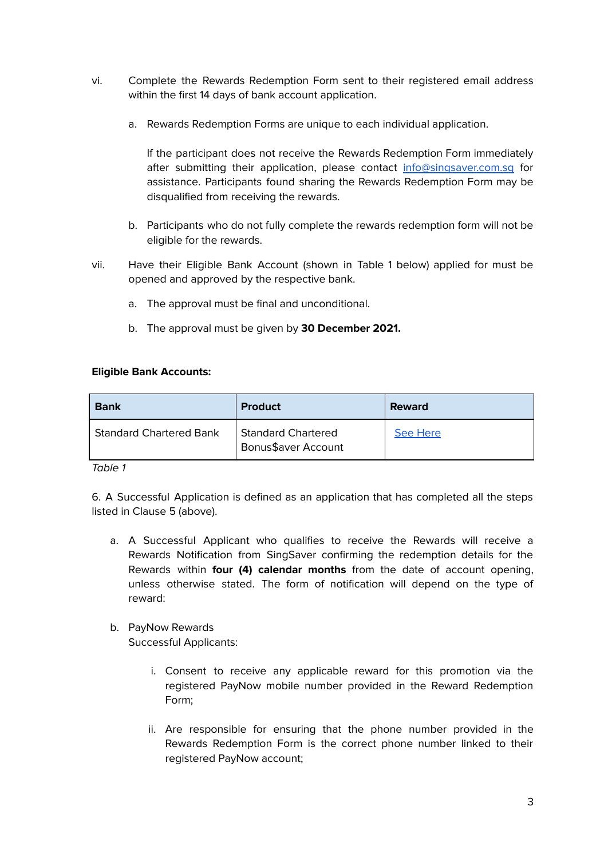- vi. Complete the Rewards Redemption Form sent to their registered email address within the first 14 days of bank account application.
	- a. Rewards Redemption Forms are unique to each individual application.

If the participant does not receive the Rewards Redemption Form immediately after submitting their application, please contact [info@singsaver.com.sg](mailto:info@singsaver.com.sg) for assistance. Participants found sharing the Rewards Redemption Form may be disqualified from receiving the rewards.

- b. Participants who do not fully complete the rewards redemption form will not be eligible for the rewards.
- vii. Have their Eligible Bank Account (shown in Table 1 below) applied for must be opened and approved by the respective bank.
	- a. The approval must be final and unconditional.
	- b. The approval must be given by **30 December 2021.**

#### **Eligible Bank Accounts:**

| <b>Bank</b>                    | <b>Product</b>                                   | <b>Reward</b> |
|--------------------------------|--------------------------------------------------|---------------|
| <b>Standard Chartered Bank</b> | <b>Standard Chartered</b><br>Bonus\$aver Account | See Here      |

Table 1

6. A Successful Application is defined as an application that has completed all the steps listed in Clause 5 (above).

- a. A Successful Applicant who qualifies to receive the Rewards will receive a Rewards Notification from SingSaver confirming the redemption details for the Rewards within **four (4) calendar months** from the date of account opening, unless otherwise stated. The form of notification will depend on the type of reward:
- b. PayNow Rewards

Successful Applicants:

- i. Consent to receive any applicable reward for this promotion via the registered PayNow mobile number provided in the Reward Redemption Form;
- ii. Are responsible for ensuring that the phone number provided in the Rewards Redemption Form is the correct phone number linked to their registered PayNow account;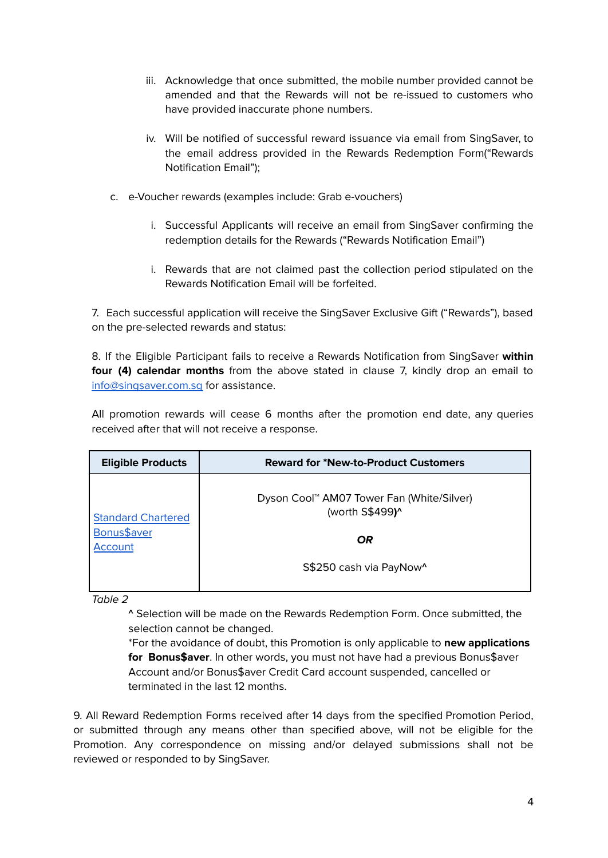- iii. Acknowledge that once submitted, the mobile number provided cannot be amended and that the Rewards will not be re-issued to customers who have provided inaccurate phone numbers.
- iv. Will be notified of successful reward issuance via email from SingSaver, to the email address provided in the Rewards Redemption Form("Rewards Notification Email");
- c. e-Voucher rewards (examples include: Grab e-vouchers)
	- i. Successful Applicants will receive an email from SingSaver confirming the redemption details for the Rewards ("Rewards Notification Email")
	- i. Rewards that are not claimed past the collection period stipulated on the Rewards Notification Email will be forfeited.

7. Each successful application will receive the SingSaver Exclusive Gift ("Rewards"), based on the pre-selected rewards and status:

8. If the Eligible Participant fails to receive a Rewards Notification from SingSaver **within four (4) calendar months** from the above stated in clause 7, kindly drop an email to [info@singsaver.com.sg](mailto:info@singsaver.com.sg) for assistance.

All promotion rewards will cease 6 months after the promotion end date, any queries received after that will not receive a response.

<span id="page-3-0"></span>

| <b>Eligible Products</b>                            | <b>Reward for *New-to-Product Customers</b>                                                                      |
|-----------------------------------------------------|------------------------------------------------------------------------------------------------------------------|
| <b>Standard Chartered</b><br>Bonus\$aver<br>Account | Dyson Cool <sup>™</sup> AM07 Tower Fan (White/Silver)<br>(worth S\$499)^<br><b>OR</b><br>S\$250 cash via PayNow^ |
|                                                     |                                                                                                                  |

Table 2

**^** Selection will be made on the Rewards Redemption Form. Once submitted, the selection cannot be changed.

\*For the avoidance of doubt, this Promotion is only applicable to **new applications for Bonus\$aver**. In other words, you must not have had a previous Bonus\$aver Account and/or Bonus\$aver Credit Card account suspended, cancelled or terminated in the last 12 months.

9. All Reward Redemption Forms received after 14 days from the specified Promotion Period, or submitted through any means other than specified above, will not be eligible for the Promotion. Any correspondence on missing and/or delayed submissions shall not be reviewed or responded to by SingSaver.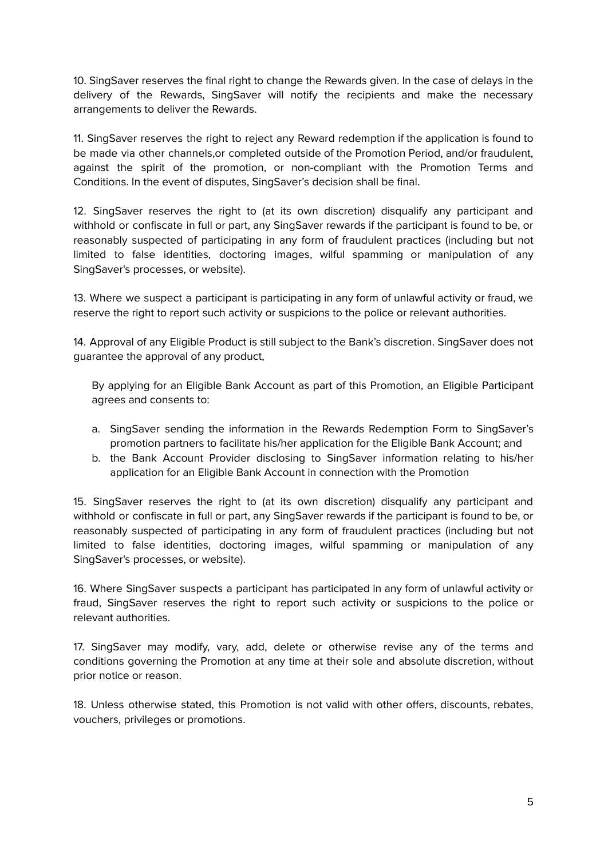10. SingSaver reserves the final right to change the Rewards given. In the case of delays in the delivery of the Rewards, SingSaver will notify the recipients and make the necessary arrangements to deliver the Rewards.

11. SingSaver reserves the right to reject any Reward redemption if the application is found to be made via other channels,or completed outside of the Promotion Period, and/or fraudulent, against the spirit of the promotion, or non-compliant with the Promotion Terms and Conditions. In the event of disputes, SingSaver's decision shall be final.

12. SingSaver reserves the right to (at its own discretion) disqualify any participant and withhold or confiscate in full or part, any SingSaver rewards if the participant is found to be, or reasonably suspected of participating in any form of fraudulent practices (including but not limited to false identities, doctoring images, wilful spamming or manipulation of any SingSaver's processes, or website).

13. Where we suspect a participant is participating in any form of unlawful activity or fraud, we reserve the right to report such activity or suspicions to the police or relevant authorities.

14. Approval of any Eligible Product is still subject to the Bank's discretion. SingSaver does not guarantee the approval of any product,

By applying for an Eligible Bank Account as part of this Promotion, an Eligible Participant agrees and consents to:

- a. SingSaver sending the information in the Rewards Redemption Form to SingSaver's promotion partners to facilitate his/her application for the Eligible Bank Account; and
- b. the Bank Account Provider disclosing to SingSaver information relating to his/her application for an Eligible Bank Account in connection with the Promotion

15. SingSaver reserves the right to (at its own discretion) disqualify any participant and withhold or confiscate in full or part, any SingSaver rewards if the participant is found to be, or reasonably suspected of participating in any form of fraudulent practices (including but not limited to false identities, doctoring images, wilful spamming or manipulation of any SingSaver's processes, or website).

16. Where SingSaver suspects a participant has participated in any form of unlawful activity or fraud, SingSaver reserves the right to report such activity or suspicions to the police or relevant authorities.

17. SingSaver may modify, vary, add, delete or otherwise revise any of the terms and conditions governing the Promotion at any time at their sole and absolute discretion, without prior notice or reason.

18. Unless otherwise stated, this Promotion is not valid with other offers, discounts, rebates, vouchers, privileges or promotions.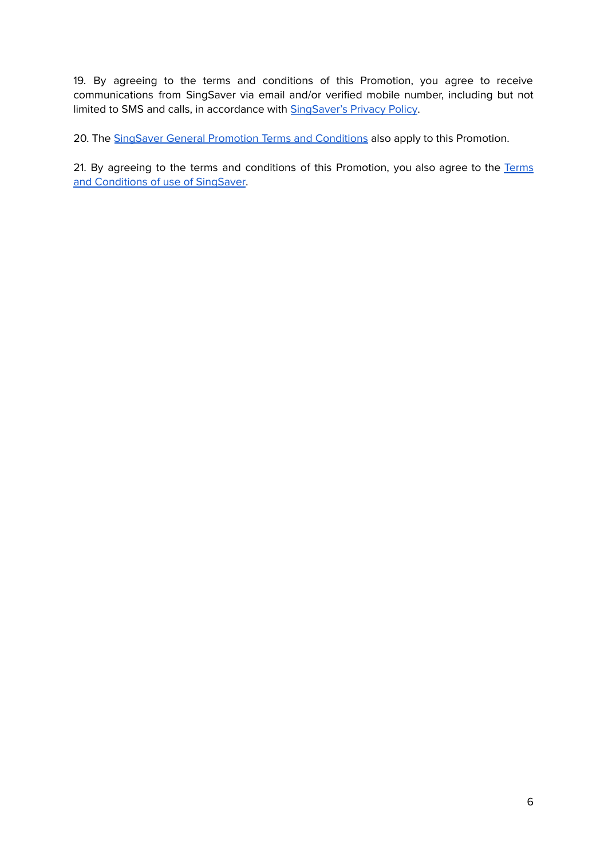19. By agreeing to the terms and conditions of this Promotion, you agree to receive communications from SingSaver via email and/or verified mobile number, including but not limited to SMS and calls, in accordance with **[SingSaver's](https://www.singsaver.com.sg/privacy-policy) Privacy Policy**.

20. The SingSaver General Promotion Terms and [Conditions](#page-10-0) also apply to this Promotion.

21. By agreeing to the terms and conditions of this Promotion, you also agree to the [Terms](https://www.singsaver.com.sg/terms) and [Conditions](https://www.singsaver.com.sg/terms) of use of SingSaver.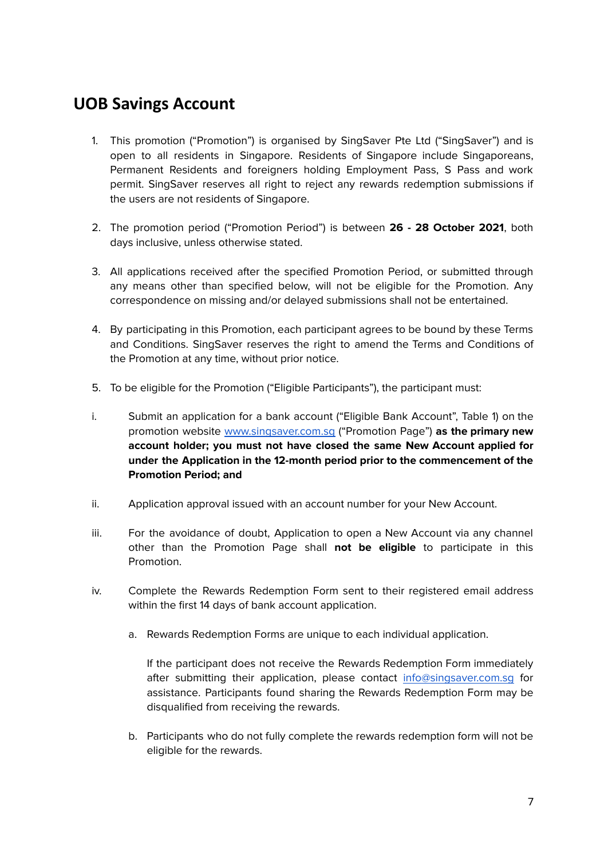# <span id="page-6-0"></span>**UOB Savings Account**

- 1. This promotion ("Promotion") is organised by SingSaver Pte Ltd ("SingSaver") and is open to all residents in Singapore. Residents of Singapore include Singaporeans, Permanent Residents and foreigners holding Employment Pass, S Pass and work permit. SingSaver reserves all right to reject any rewards redemption submissions if the users are not residents of Singapore.
- 2. The promotion period ("Promotion Period") is between **26 - 28 October 2021**, both days inclusive, unless otherwise stated.
- 3. All applications received after the specified Promotion Period, or submitted through any means other than specified below, will not be eligible for the Promotion. Any correspondence on missing and/or delayed submissions shall not be entertained.
- 4. By participating in this Promotion, each participant agrees to be bound by these Terms and Conditions. SingSaver reserves the right to amend the Terms and Conditions of the Promotion at any time, without prior notice.
- 5. To be eligible for the Promotion ("Eligible Participants"), the participant must:
- i. Submit an application for a bank account ("Eligible Bank Account", Table 1) on the promotion website [www.singsaver.com.sg](http://www.singsaver.com.sg) ("Promotion Page") **as the primary new account holder; you must not have closed the same New Account applied for under the Application in the 12-month period prior to the commencement of the Promotion Period; and**
- ii. Application approval issued with an account number for your New Account.
- iii. For the avoidance of doubt, Application to open a New Account via any channel other than the Promotion Page shall **not be eligible** to participate in this Promotion.
- iv. Complete the Rewards Redemption Form sent to their registered email address within the first 14 days of bank account application.
	- a. Rewards Redemption Forms are unique to each individual application.

If the participant does not receive the Rewards Redemption Form immediately after submitting their application, please contact [info@singsaver.com.sg](mailto:info@singsaver.com.sg) for assistance. Participants found sharing the Rewards Redemption Form may be disqualified from receiving the rewards.

b. Participants who do not fully complete the rewards redemption form will not be eligible for the rewards.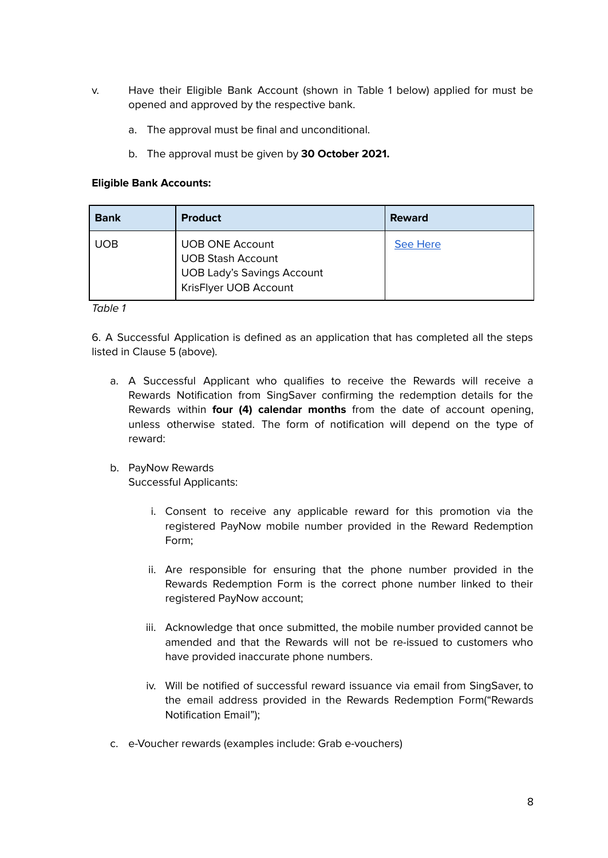- v. Have their Eligible Bank Account (shown in Table 1 below) applied for must be opened and approved by the respective bank.
	- a. The approval must be final and unconditional.
	- b. The approval must be given by **30 October 2021.**

#### **Eligible Bank Accounts:**

| <b>Bank</b> | <b>Product</b>                                                                                                   | <b>Reward</b>   |
|-------------|------------------------------------------------------------------------------------------------------------------|-----------------|
| <b>UOB</b>  | <b>UOB ONE Account</b><br><b>UOB Stash Account</b><br><b>UOB Lady's Savings Account</b><br>KrisFlyer UOB Account | <b>See Here</b> |

#### Table 1

6. A Successful Application is defined as an application that has completed all the steps listed in Clause 5 (above).

- a. A Successful Applicant who qualifies to receive the Rewards will receive a Rewards Notification from SingSaver confirming the redemption details for the Rewards within **four (4) calendar months** from the date of account opening, unless otherwise stated. The form of notification will depend on the type of reward:
- b. PayNow Rewards Successful Applicants:
	- i. Consent to receive any applicable reward for this promotion via the registered PayNow mobile number provided in the Reward Redemption Form;
	- ii. Are responsible for ensuring that the phone number provided in the Rewards Redemption Form is the correct phone number linked to their registered PayNow account;
	- iii. Acknowledge that once submitted, the mobile number provided cannot be amended and that the Rewards will not be re-issued to customers who have provided inaccurate phone numbers.
	- iv. Will be notified of successful reward issuance via email from SingSaver, to the email address provided in the Rewards Redemption Form("Rewards Notification Email");
- c. e-Voucher rewards (examples include: Grab e-vouchers)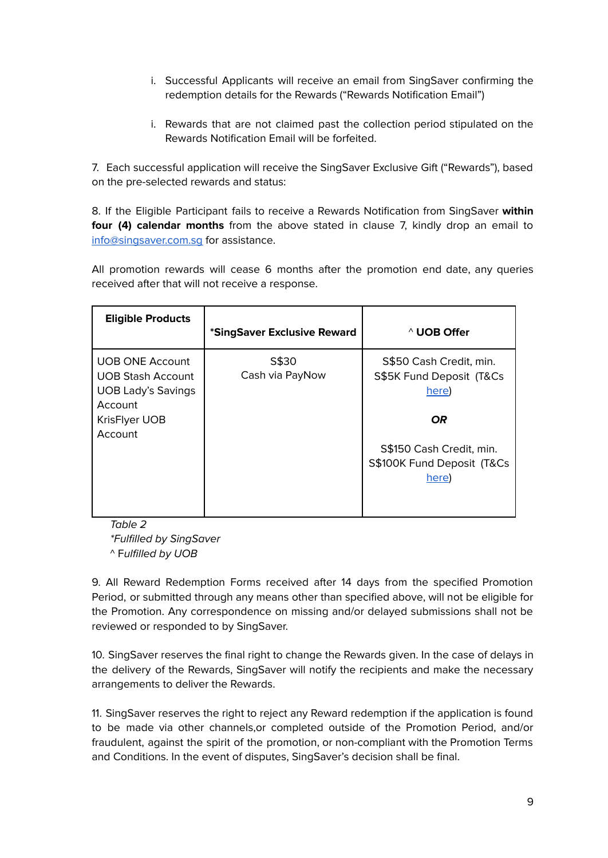- i. Successful Applicants will receive an email from SingSaver confirming the redemption details for the Rewards ("Rewards Notification Email")
- i. Rewards that are not claimed past the collection period stipulated on the Rewards Notification Email will be forfeited.

7. Each successful application will receive the SingSaver Exclusive Gift ("Rewards"), based on the pre-selected rewards and status:

8. If the Eligible Participant fails to receive a Rewards Notification from SingSaver **within four (4) calendar months** from the above stated in clause 7, kindly drop an email to [info@singsaver.com.sg](mailto:info@singsaver.com.sg) for assistance.

All promotion rewards will cease 6 months after the promotion end date, any queries received after that will not receive a response.

<span id="page-8-0"></span>

| <b>Eligible Products</b>                                                                   | *SingSaver Exclusive Reward | <sup>^</sup> UOB Offer                                                 |
|--------------------------------------------------------------------------------------------|-----------------------------|------------------------------------------------------------------------|
| <b>UOB ONE Account</b><br><b>UOB Stash Account</b><br><b>UOB Lady's Savings</b><br>Account | S\$30<br>Cash via PayNow    | S\$50 Cash Credit, min.<br>S\$5K Fund Deposit (T&Cs<br>here)           |
| <b>KrisFlyer UOB</b><br>Account                                                            |                             | OR.<br>S\$150 Cash Credit, min.<br>S\$100K Fund Deposit (T&Cs<br>here) |

Table 2 \*Fulfilled by SingSaver ^ Fulfilled by UOB

9. All Reward Redemption Forms received after 14 days from the specified Promotion Period, or submitted through any means other than specified above, will not be eligible for the Promotion. Any correspondence on missing and/or delayed submissions shall not be reviewed or responded to by SingSaver.

10. SingSaver reserves the final right to change the Rewards given. In the case of delays in the delivery of the Rewards, SingSaver will notify the recipients and make the necessary arrangements to deliver the Rewards.

11. SingSaver reserves the right to reject any Reward redemption if the application is found to be made via other channels,or completed outside of the Promotion Period, and/or fraudulent, against the spirit of the promotion, or non-compliant with the Promotion Terms and Conditions. In the event of disputes, SingSaver's decision shall be final.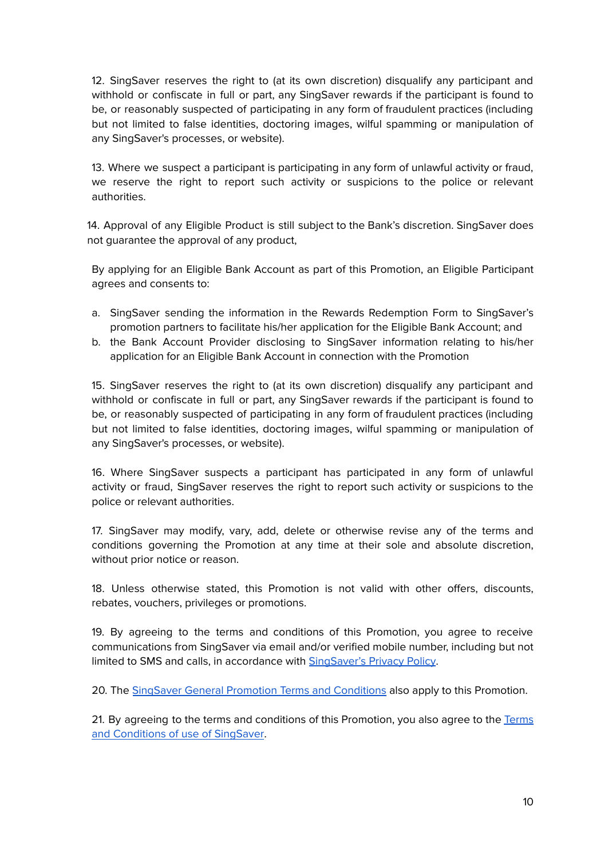12. SingSaver reserves the right to (at its own discretion) disqualify any participant and withhold or confiscate in full or part, any SingSaver rewards if the participant is found to be, or reasonably suspected of participating in any form of fraudulent practices (including but not limited to false identities, doctoring images, wilful spamming or manipulation of any SingSaver's processes, or website).

13. Where we suspect a participant is participating in any form of unlawful activity or fraud, we reserve the right to report such activity or suspicions to the police or relevant authorities.

14. Approval of any Eligible Product is still subject to the Bank's discretion. SingSaver does not guarantee the approval of any product,

By applying for an Eligible Bank Account as part of this Promotion, an Eligible Participant agrees and consents to:

- a. SingSaver sending the information in the Rewards Redemption Form to SingSaver's promotion partners to facilitate his/her application for the Eligible Bank Account; and
- b. the Bank Account Provider disclosing to SingSaver information relating to his/her application for an Eligible Bank Account in connection with the Promotion

15. SingSaver reserves the right to (at its own discretion) disqualify any participant and withhold or confiscate in full or part, any SingSaver rewards if the participant is found to be, or reasonably suspected of participating in any form of fraudulent practices (including but not limited to false identities, doctoring images, wilful spamming or manipulation of any SingSaver's processes, or website).

16. Where SingSaver suspects a participant has participated in any form of unlawful activity or fraud, SingSaver reserves the right to report such activity or suspicions to the police or relevant authorities.

17. SingSaver may modify, vary, add, delete or otherwise revise any of the terms and conditions governing the Promotion at any time at their sole and absolute discretion, without prior notice or reason.

18. Unless otherwise stated, this Promotion is not valid with other offers, discounts, rebates, vouchers, privileges or promotions.

19. By agreeing to the terms and conditions of this Promotion, you agree to receive communications from SingSaver via email and/or verified mobile number, including but not limited to SMS and calls, in accordance with [SingSaver's](https://www.singsaver.com.sg/privacy-policy) Privacy Policy.

20. The SingSaver General Promotion Terms and [Conditions](https://docs.google.com/document/d/150t_FRyQBdPEQupp1aBjao8N1ZSkc7XPEOd_9fcNoHA/edit#heading=h.vdrctf15ffi6) also apply to this Promotion.

21. By agreeing to the terms and conditions of this Promotion, you also agree to the [Terms](https://www.singsaver.com.sg/terms) and [Conditions](https://www.singsaver.com.sg/terms) of use of SingSaver.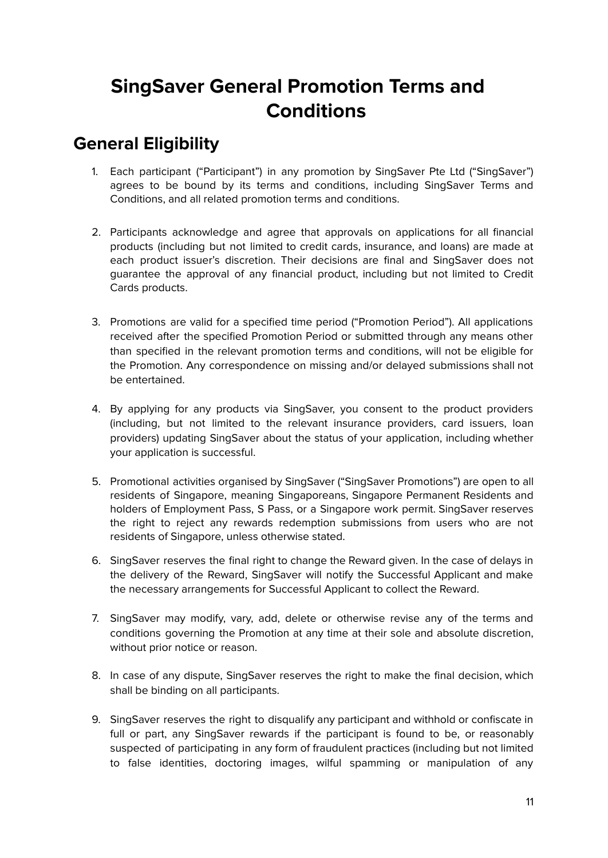# **SingSaver General Promotion Terms and Conditions**

# <span id="page-10-1"></span><span id="page-10-0"></span>**General Eligibility**

- 1. Each participant ("Participant") in any promotion by SingSaver Pte Ltd ("SingSaver") agrees to be bound by its terms and conditions, including SingSaver Terms and Conditions, and all related promotion terms and conditions.
- 2. Participants acknowledge and agree that approvals on applications for all financial products (including but not limited to credit cards, insurance, and loans) are made at each product issuer's discretion. Their decisions are final and SingSaver does not guarantee the approval of any financial product, including but not limited to Credit Cards products.
- 3. Promotions are valid for a specified time period ("Promotion Period"). All applications received after the specified Promotion Period or submitted through any means other than specified in the relevant promotion terms and conditions, will not be eligible for the Promotion. Any correspondence on missing and/or delayed submissions shall not be entertained.
- 4. By applying for any products via SingSaver, you consent to the product providers (including, but not limited to the relevant insurance providers, card issuers, loan providers) updating SingSaver about the status of your application, including whether your application is successful.
- 5. Promotional activities organised by SingSaver ("SingSaver Promotions") are open to all residents of Singapore, meaning Singaporeans, Singapore Permanent Residents and holders of Employment Pass, S Pass, or a Singapore work permit. SingSaver reserves the right to reject any rewards redemption submissions from users who are not residents of Singapore, unless otherwise stated.
- 6. SingSaver reserves the final right to change the Reward given. In the case of delays in the delivery of the Reward, SingSaver will notify the Successful Applicant and make the necessary arrangements for Successful Applicant to collect the Reward.
- 7. SingSaver may modify, vary, add, delete or otherwise revise any of the terms and conditions governing the Promotion at any time at their sole and absolute discretion, without prior notice or reason.
- 8. In case of any dispute, SingSaver reserves the right to make the final decision, which shall be binding on all participants.
- 9. SingSaver reserves the right to disqualify any participant and withhold or confiscate in full or part, any SingSaver rewards if the participant is found to be, or reasonably suspected of participating in any form of fraudulent practices (including but not limited to false identities, doctoring images, wilful spamming or manipulation of any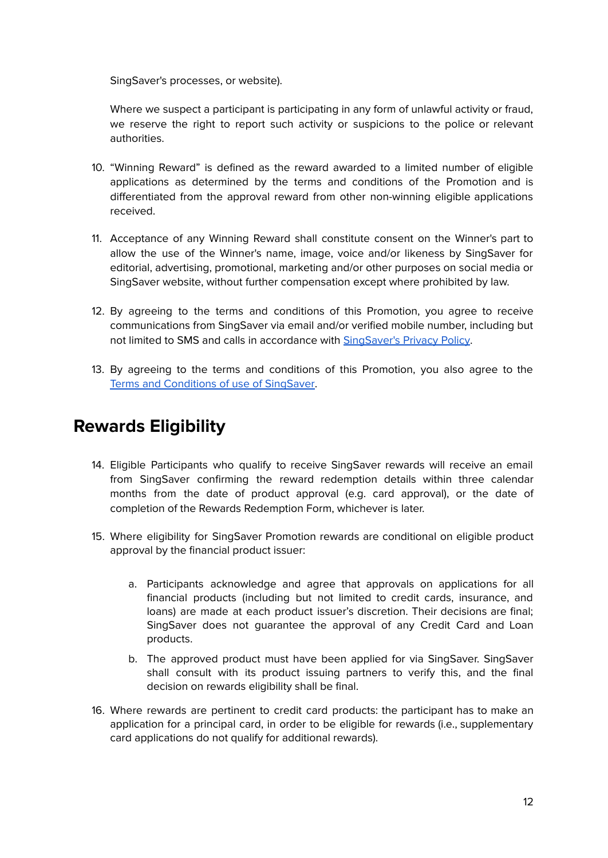SingSaver's processes, or website).

Where we suspect a participant is participating in any form of unlawful activity or fraud, we reserve the right to report such activity or suspicions to the police or relevant authorities.

- 10. "Winning Reward" is defined as the reward awarded to a limited number of eligible applications as determined by the terms and conditions of the Promotion and is differentiated from the approval reward from other non-winning eligible applications received.
- 11. Acceptance of any Winning Reward shall constitute consent on the Winner's part to allow the use of the Winner's name, image, voice and/or likeness by SingSaver for editorial, advertising, promotional, marketing and/or other purposes on social media or SingSaver website, without further compensation except where prohibited by law.
- 12. By agreeing to the terms and conditions of this Promotion, you agree to receive communications from SingSaver via email and/or verified mobile number, including but not limited to SMS and calls in accordance with [SingSaver's](https://www.singsaver.com.sg/privacy-policy) Privacy Policy.
- 13. By agreeing to the terms and conditions of this Promotion, you also agree to the Terms and [Conditions](https://www.singsaver.com.sg/terms) of use of SingSaver.

# <span id="page-11-0"></span>**Rewards Eligibility**

- 14. Eligible Participants who qualify to receive SingSaver rewards will receive an email from SingSaver confirming the reward redemption details within three calendar months from the date of product approval (e.g. card approval), or the date of completion of the Rewards Redemption Form, whichever is later.
- 15. Where eligibility for SingSaver Promotion rewards are conditional on eligible product approval by the financial product issuer:
	- a. Participants acknowledge and agree that approvals on applications for all financial products (including but not limited to credit cards, insurance, and loans) are made at each product issuer's discretion. Their decisions are final; SingSaver does not guarantee the approval of any Credit Card and Loan products.
	- b. The approved product must have been applied for via SingSaver. SingSaver shall consult with its product issuing partners to verify this, and the final decision on rewards eligibility shall be final.
- 16. Where rewards are pertinent to credit card products: the participant has to make an application for a principal card, in order to be eligible for rewards (i.e., supplementary card applications do not qualify for additional rewards).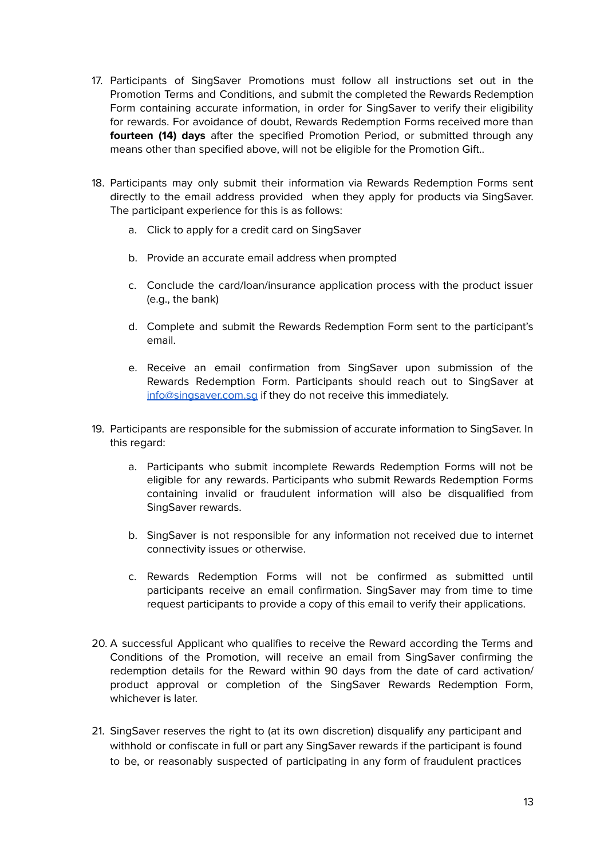- 17. Participants of SingSaver Promotions must follow all instructions set out in the Promotion Terms and Conditions, and submit the completed the Rewards Redemption Form containing accurate information, in order for SingSaver to verify their eligibility for rewards. For avoidance of doubt, Rewards Redemption Forms received more than **fourteen (14) days** after the specified Promotion Period, or submitted through any means other than specified above, will not be eligible for the Promotion Gift..
- 18. Participants may only submit their information via Rewards Redemption Forms sent directly to the email address provided when they apply for products via SingSaver. The participant experience for this is as follows:
	- a. Click to apply for a credit card on SingSaver
	- b. Provide an accurate email address when prompted
	- c. Conclude the card/loan/insurance application process with the product issuer (e.g., the bank)
	- d. Complete and submit the Rewards Redemption Form sent to the participant's email.
	- e. Receive an email confirmation from SingSaver upon submission of the Rewards Redemption Form. Participants should reach out to SingSaver at [info@singsaver.com.sg](mailto:info@singsaver.com.sg) if they do not receive this immediately.
- 19. Participants are responsible for the submission of accurate information to SingSaver. In this regard:
	- a. Participants who submit incomplete Rewards Redemption Forms will not be eligible for any rewards. Participants who submit Rewards Redemption Forms containing invalid or fraudulent information will also be disqualified from SingSaver rewards.
	- b. SingSaver is not responsible for any information not received due to internet connectivity issues or otherwise.
	- c. Rewards Redemption Forms will not be confirmed as submitted until participants receive an email confirmation. SingSaver may from time to time request participants to provide a copy of this email to verify their applications.
- 20. A successful Applicant who qualifies to receive the Reward according the Terms and Conditions of the Promotion, will receive an email from SingSaver confirming the redemption details for the Reward within 90 days from the date of card activation/ product approval or completion of the SingSaver Rewards Redemption Form, whichever is later
- 21. SingSaver reserves the right to (at its own discretion) disqualify any participant and withhold or confiscate in full or part any SingSaver rewards if the participant is found to be, or reasonably suspected of participating in any form of fraudulent practices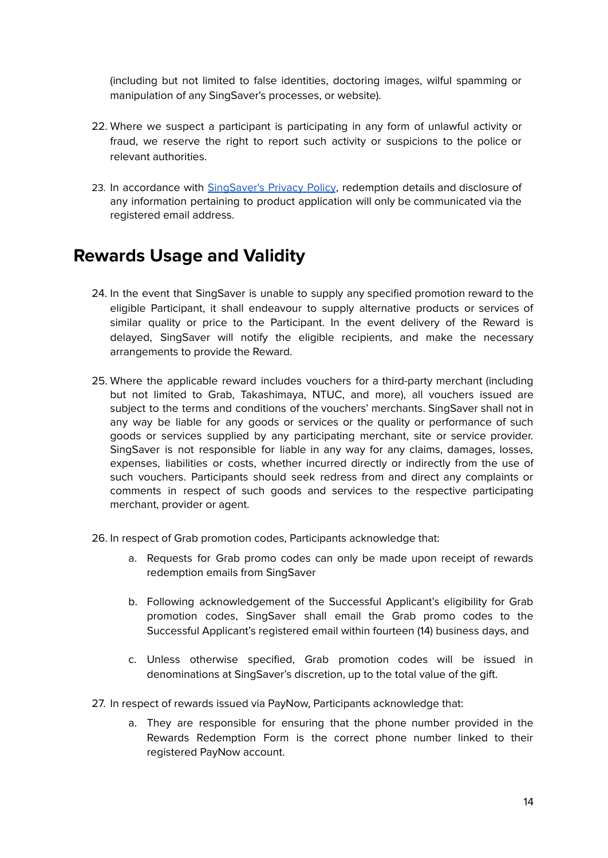(including but not limited to false identities, doctoring images, wilful spamming or manipulation of any SingSaver's processes, or website).

- 22. Where we suspect a participant is participating in any form of unlawful activity or fraud, we reserve the right to report such activity or suspicions to the police or relevant authorities.
- 23. In accordance with [SingSaver's](https://www.singsaver.com.sg/privacy-policy) Privacy Policy, redemption details and disclosure of any information pertaining to product application will only be communicated via the registered email address.

### <span id="page-13-0"></span>**Rewards Usage and Validity**

- 24. In the event that SingSaver is unable to supply any specified promotion reward to the eligible Participant, it shall endeavour to supply alternative products or services of similar quality or price to the Participant. In the event delivery of the Reward is delayed, SingSaver will notify the eligible recipients, and make the necessary arrangements to provide the Reward.
- 25. Where the applicable reward includes vouchers for a third-party merchant (including but not limited to Grab, Takashimaya, NTUC, and more), all vouchers issued are subject to the terms and conditions of the vouchers' merchants. SingSaver shall not in any way be liable for any goods or services or the quality or performance of such goods or services supplied by any participating merchant, site or service provider. SingSaver is not responsible for liable in any way for any claims, damages, losses, expenses, liabilities or costs, whether incurred directly or indirectly from the use of such vouchers. Participants should seek redress from and direct any complaints or comments in respect of such goods and services to the respective participating merchant, provider or agent.
- 26. In respect of Grab promotion codes, Participants acknowledge that:
	- a. Requests for Grab promo codes can only be made upon receipt of rewards redemption emails from SingSaver
	- b. Following acknowledgement of the Successful Applicant's eligibility for Grab promotion codes, SingSaver shall email the Grab promo codes to the Successful Applicant's registered email within fourteen (14) business days, and
	- c. Unless otherwise specified, Grab promotion codes will be issued in denominations at SingSaver's discretion, up to the total value of the gift.
- 27. In respect of rewards issued via PayNow, Participants acknowledge that:
	- a. They are responsible for ensuring that the phone number provided in the Rewards Redemption Form is the correct phone number linked to their registered PayNow account.